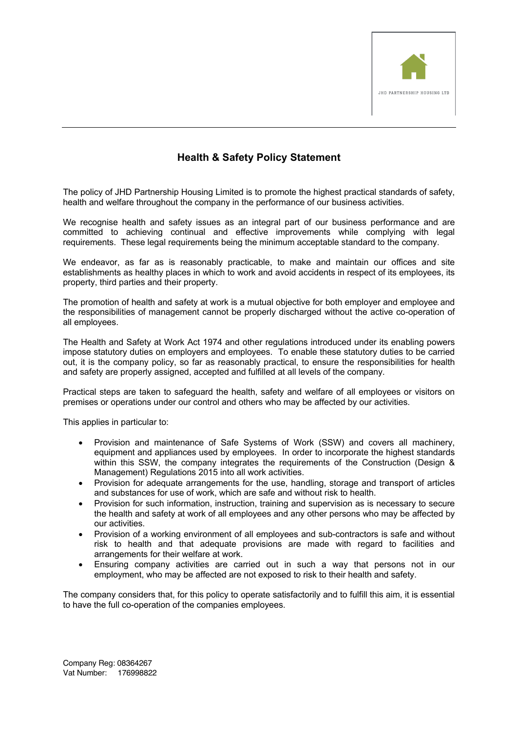

## **Health & Safety Policy Statement**

The policy of JHD Partnership Housing Limited is to promote the highest practical standards of safety, health and welfare throughout the company in the performance of our business activities.

We recognise health and safety issues as an integral part of our business performance and are committed to achieving continual and effective improvements while complying with legal requirements. These legal requirements being the minimum acceptable standard to the company.

We endeavor, as far as is reasonably practicable, to make and maintain our offices and site establishments as healthy places in which to work and avoid accidents in respect of its employees, its property, third parties and their property.

The promotion of health and safety at work is a mutual objective for both employer and employee and the responsibilities of management cannot be properly discharged without the active co-operation of all employees.

The Health and Safety at Work Act 1974 and other regulations introduced under its enabling powers impose statutory duties on employers and employees. To enable these statutory duties to be carried out, it is the company policy, so far as reasonably practical, to ensure the responsibilities for health and safety are properly assigned, accepted and fulfilled at all levels of the company.

Practical steps are taken to safeguard the health, safety and welfare of all employees or visitors on premises or operations under our control and others who may be affected by our activities.

This applies in particular to:

- Provision and maintenance of Safe Systems of Work (SSW) and covers all machinery, equipment and appliances used by employees. In order to incorporate the highest standards within this SSW, the company integrates the requirements of the Construction (Design & Management) Regulations 2015 into all work activities.
- Provision for adequate arrangements for the use, handling, storage and transport of articles and substances for use of work, which are safe and without risk to health.
- Provision for such information, instruction, training and supervision as is necessary to secure the health and safety at work of all employees and any other persons who may be affected by our activities.
- Provision of a working environment of all employees and sub-contractors is safe and without risk to health and that adequate provisions are made with regard to facilities and arrangements for their welfare at work.
- Ensuring company activities are carried out in such a way that persons not in our employment, who may be affected are not exposed to risk to their health and safety.

The company considers that, for this policy to operate satisfactorily and to fulfill this aim, it is essential to have the full co-operation of the companies employees.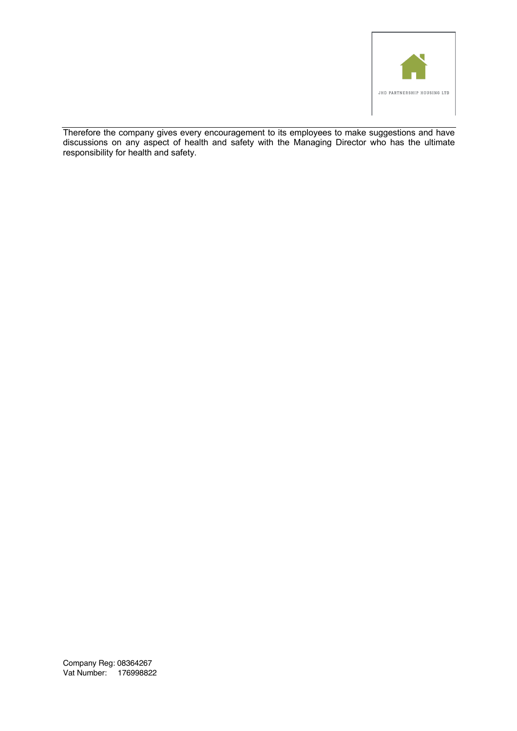

Therefore the company gives every encouragement to its employees to make suggestions and have discussions on any aspect of health and safety with the Managing Director who has the ultimate responsibility for health and safety.